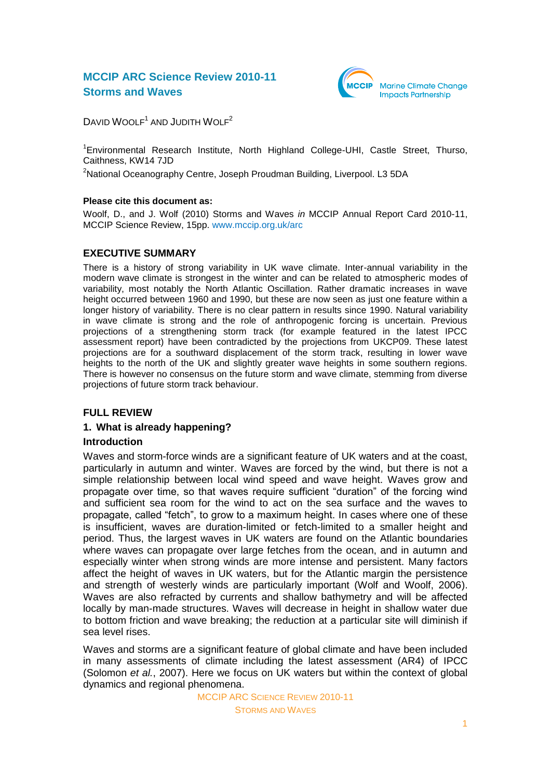## **MCCIP ARC Science Review 2010-11 Storms and Waves**



DAVID WOOLF<sup>1</sup> AND JUDITH WOLF<sup>2</sup>

<sup>1</sup> Environmental Research Institute, North Highland College-UHI, Castle Street, Thurso, Caithness, KW14 7JD

<sup>2</sup>National Oceanography Centre, Joseph Proudman Building, Liverpool. L3 5DA

## **Please cite this document as:**

Woolf, D., and J. Wolf (2010) Storms and Waves *in* MCCIP Annual Report Card 2010-11, MCCIP Science Review, 15pp. [www.mccip.org.uk/arc](http://www.mccip.org.uk/arc)

## **EXECUTIVE SUMMARY**

There is a history of strong variability in UK wave climate. Inter-annual variability in the modern wave climate is strongest in the winter and can be related to atmospheric modes of variability, most notably the North Atlantic Oscillation. Rather dramatic increases in wave height occurred between 1960 and 1990, but these are now seen as just one feature within a longer history of variability. There is no clear pattern in results since 1990. Natural variability in wave climate is strong and the role of anthropogenic forcing is uncertain. Previous projections of a strengthening storm track (for example featured in the latest IPCC assessment report) have been contradicted by the projections from UKCP09. These latest projections are for a southward displacement of the storm track, resulting in lower wave heights to the north of the UK and slightly greater wave heights in some southern regions. There is however no consensus on the future storm and wave climate, stemming from diverse projections of future storm track behaviour.

## **FULL REVIEW**

## **1. What is already happening?**

## **Introduction**

Waves and storm-force winds are a significant feature of UK waters and at the coast, particularly in autumn and winter. Waves are forced by the wind, but there is not a simple relationship between local wind speed and wave height. Waves grow and propagate over time, so that waves require sufficient "duration" of the forcing wind and sufficient sea room for the wind to act on the sea surface and the waves to propagate, called "fetch", to grow to a maximum height. In cases where one of these is insufficient, waves are duration-limited or fetch-limited to a smaller height and period. Thus, the largest waves in UK waters are found on the Atlantic boundaries where waves can propagate over large fetches from the ocean, and in autumn and especially winter when strong winds are more intense and persistent. Many factors affect the height of waves in UK waters, but for the Atlantic margin the persistence and strength of westerly winds are particularly important (Wolf and Woolf, 2006). Waves are also refracted by currents and shallow bathymetry and will be affected locally by man-made structures. Waves will decrease in height in shallow water due to bottom friction and wave breaking; the reduction at a particular site will diminish if sea level rises.

Waves and storms are a significant feature of global climate and have been included in many assessments of climate including the latest assessment (AR4) of IPCC (Solomon *et al.*, 2007). Here we focus on UK waters but within the context of global dynamics and regional phenomena.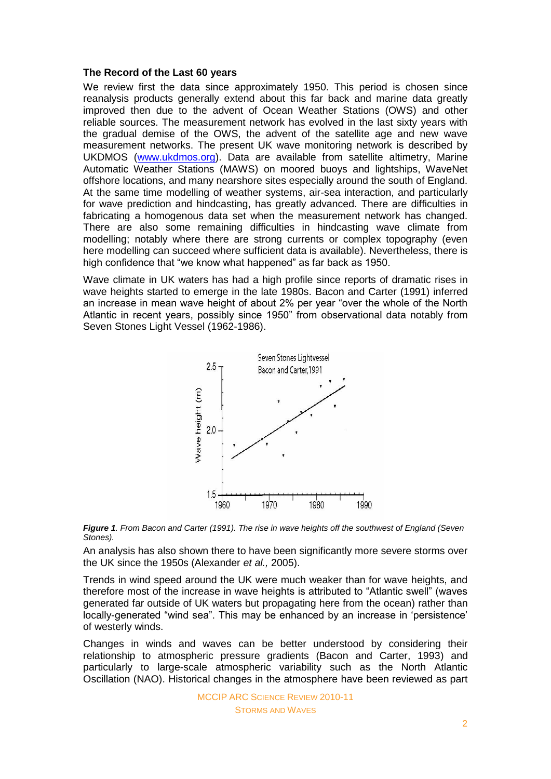#### **The Record of the Last 60 years**

We review first the data since approximately 1950. This period is chosen since reanalysis products generally extend about this far back and marine data greatly improved then due to the advent of Ocean Weather Stations (OWS) and other reliable sources. The measurement network has evolved in the last sixty years with the gradual demise of the OWS, the advent of the satellite age and new wave measurement networks. The present UK wave monitoring network is described by UKDMOS [\(www.ukdmos.org\)](http://www.ukdmos.org/). Data are available from satellite altimetry, Marine Automatic Weather Stations (MAWS) on moored buoys and lightships, WaveNet offshore locations, and many nearshore sites especially around the south of England. At the same time modelling of weather systems, air-sea interaction, and particularly for wave prediction and hindcasting, has greatly advanced. There are difficulties in fabricating a homogenous data set when the measurement network has changed. There are also some remaining difficulties in hindcasting wave climate from modelling; notably where there are strong currents or complex topography (even here modelling can succeed where sufficient data is available). Nevertheless, there is high confidence that "we know what happened" as far back as 1950.

Wave climate in UK waters has had a high profile since reports of dramatic rises in wave heights started to emerge in the late 1980s. Bacon and Carter (1991) inferred an increase in mean wave height of about 2% per year "over the whole of the North Atlantic in recent years, possibly since 1950" from observational data notably from Seven Stones Light Vessel (1962-1986).





An analysis has also shown there to have been significantly more severe storms over the UK since the 1950s (Alexander *et al.,* 2005).

Trends in wind speed around the UK were much weaker than for wave heights, and therefore most of the increase in wave heights is attributed to "Atlantic swell" (waves generated far outside of UK waters but propagating here from the ocean) rather than locally-generated "wind sea". This may be enhanced by an increase in 'persistence' of westerly winds.

Changes in winds and waves can be better understood by considering their relationship to atmospheric pressure gradients (Bacon and Carter, 1993) and particularly to large-scale atmospheric variability such as the North Atlantic Oscillation (NAO). Historical changes in the atmosphere have been reviewed as part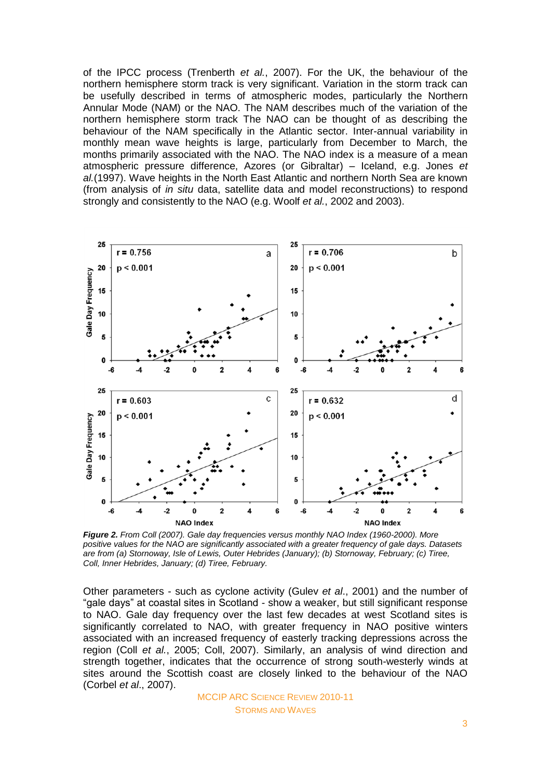of the IPCC process (Trenberth *et al.*, 2007). For the UK, the behaviour of the northern hemisphere storm track is very significant. Variation in the storm track can be usefully described in terms of atmospheric modes, particularly the Northern Annular Mode (NAM) or the NAO. The NAM describes much of the variation of the northern hemisphere storm track The NAO can be thought of as describing the behaviour of the NAM specifically in the Atlantic sector. Inter-annual variability in monthly mean wave heights is large, particularly from December to March, the months primarily associated with the NAO. The NAO index is a measure of a mean atmospheric pressure difference, Azores (or Gibraltar) – Iceland, e.g. Jones *et al.*(1997). Wave heights in the North East Atlantic and northern North Sea are known (from analysis of *in situ* data, satellite data and model reconstructions) to respond strongly and consistently to the NAO (e.g. Woolf *et al.*, 2002 and 2003).



*Figure 2. From Coll (2007). Gale day frequencies versus monthly NAO Index (1960-2000). More positive values for the NAO are significantly associated with a greater frequency of gale days. Datasets are from (a) Stornoway, Isle of Lewis, Outer Hebrides (January); (b) Stornoway, February; (c) Tiree, Coll, Inner Hebrides, January; (d) Tiree, February.*

Other parameters - such as cyclone activity (Gulev *et al*., 2001) and the number of "gale days" at coastal sites in Scotland - show a weaker, but still significant response to NAO. Gale day frequency over the last few decades at west Scotland sites is significantly correlated to NAO, with greater frequency in NAO positive winters associated with an increased frequency of easterly tracking depressions across the region (Coll *et al.*, 2005; Coll, 2007). Similarly, an analysis of wind direction and strength together, indicates that the occurrence of strong south-westerly winds at sites around the Scottish coast are closely linked to the behaviour of the NAO (Corbel *et al*., 2007).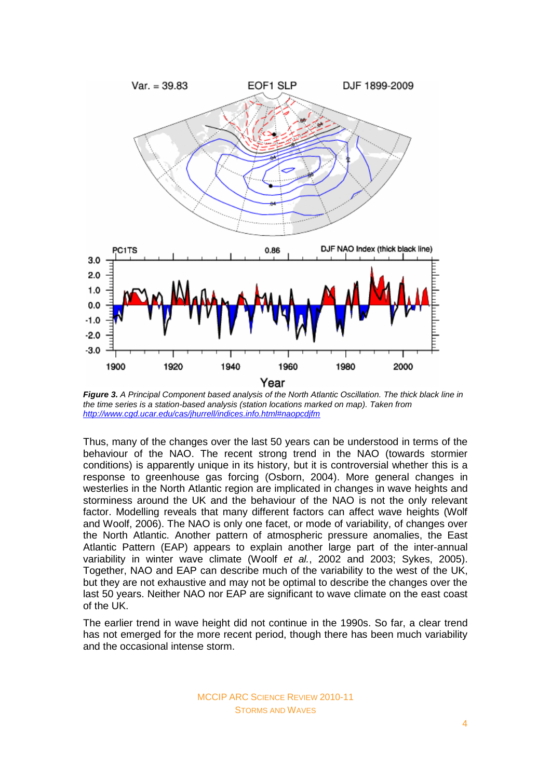

*Figure 3. A Principal Component based analysis of the North Atlantic Oscillation. The thick black line in the time series is a station-based analysis (station locations marked on map). Taken from <http://www.cgd.ucar.edu/cas/jhurrell/indices.info.html#naopcdjfm>*

Thus, many of the changes over the last 50 years can be understood in terms of the behaviour of the NAO. The recent strong trend in the NAO (towards stormier conditions) is apparently unique in its history, but it is controversial whether this is a response to greenhouse gas forcing (Osborn, 2004). More general changes in westerlies in the North Atlantic region are implicated in changes in wave heights and storminess around the UK and the behaviour of the NAO is not the only relevant factor. Modelling reveals that many different factors can affect wave heights (Wolf and Woolf, 2006). The NAO is only one facet, or mode of variability, of changes over the North Atlantic. Another pattern of atmospheric pressure anomalies, the East Atlantic Pattern (EAP) appears to explain another large part of the inter-annual variability in winter wave climate (Woolf *et al.*, 2002 and 2003; Sykes, 2005). Together, NAO and EAP can describe much of the variability to the west of the UK, but they are not exhaustive and may not be optimal to describe the changes over the last 50 years. Neither NAO nor EAP are significant to wave climate on the east coast of the UK.

The earlier trend in wave height did not continue in the 1990s. So far, a clear trend has not emerged for the more recent period, though there has been much variability and the occasional intense storm.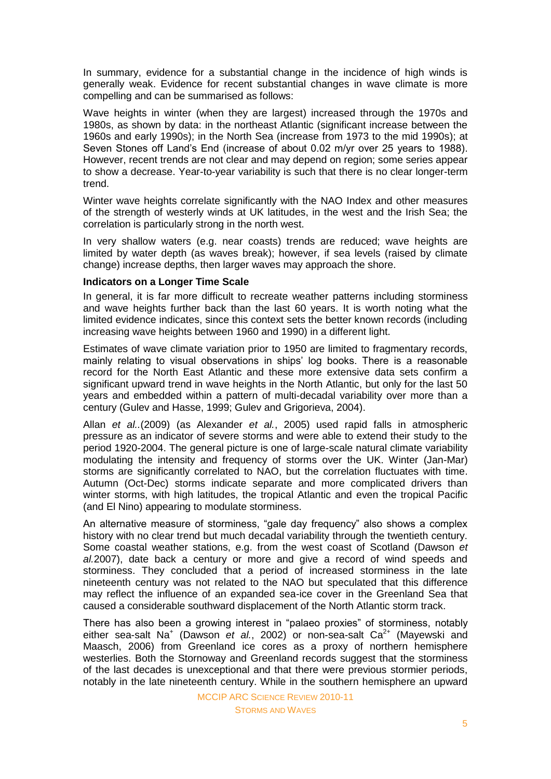In summary, evidence for a substantial change in the incidence of high winds is generally weak. Evidence for recent substantial changes in wave climate is more compelling and can be summarised as follows:

Wave heights in winter (when they are largest) increased through the 1970s and 1980s, as shown by data: in the northeast Atlantic (significant increase between the 1960s and early 1990s); in the North Sea (increase from 1973 to the mid 1990s); at Seven Stones off Land"s End (increase of about 0.02 m/yr over 25 years to 1988). However, recent trends are not clear and may depend on region; some series appear to show a decrease. Year-to-year variability is such that there is no clear longer-term trend.

Winter wave heights correlate significantly with the NAO Index and other measures of the strength of westerly winds at UK latitudes, in the west and the Irish Sea; the correlation is particularly strong in the north west.

In very shallow waters (e.g. near coasts) trends are reduced; wave heights are limited by water depth (as waves break); however, if sea levels (raised by climate change) increase depths, then larger waves may approach the shore.

#### **Indicators on a Longer Time Scale**

In general, it is far more difficult to recreate weather patterns including storminess and wave heights further back than the last 60 years. It is worth noting what the limited evidence indicates, since this context sets the better known records (including increasing wave heights between 1960 and 1990) in a different light.

Estimates of wave climate variation prior to 1950 are limited to fragmentary records, mainly relating to visual observations in ships" log books. There is a reasonable record for the North East Atlantic and these more extensive data sets confirm a significant upward trend in wave heights in the North Atlantic, but only for the last 50 years and embedded within a pattern of multi-decadal variability over more than a century (Gulev and Hasse, 1999; Gulev and Grigorieva, 2004).

Allan *et al..*(2009) (as Alexander *et al.*, 2005) used rapid falls in atmospheric pressure as an indicator of severe storms and were able to extend their study to the period 1920-2004. The general picture is one of large-scale natural climate variability modulating the intensity and frequency of storms over the UK. Winter (Jan-Mar) storms are significantly correlated to NAO, but the correlation fluctuates with time. Autumn (Oct-Dec) storms indicate separate and more complicated drivers than winter storms, with high latitudes, the tropical Atlantic and even the tropical Pacific (and El Nino) appearing to modulate storminess.

An alternative measure of storminess, "gale day frequency" also shows a complex history with no clear trend but much decadal variability through the twentieth century. Some coastal weather stations, e.g. from the west coast of Scotland (Dawson *et al.*2007), date back a century or more and give a record of wind speeds and storminess. They concluded that a period of increased storminess in the late nineteenth century was not related to the NAO but speculated that this difference may reflect the influence of an expanded sea-ice cover in the Greenland Sea that caused a considerable southward displacement of the North Atlantic storm track.

There has also been a growing interest in "palaeo proxies" of storminess, notably either sea-salt Na<sup>+</sup> (Dawson *et al.*, 2002) or non-sea-salt Ca<sup>2+</sup> (Mayewski and Maasch, 2006) from Greenland ice cores as a proxy of northern hemisphere westerlies. Both the Stornoway and Greenland records suggest that the storminess of the last decades is unexceptional and that there were previous stormier periods, notably in the late nineteenth century. While in the southern hemisphere an upward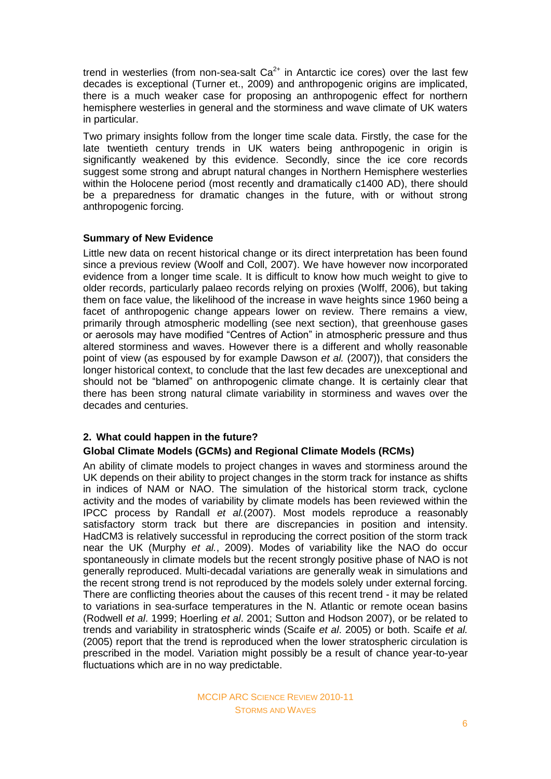trend in westerlies (from non-sea-salt  $Ca<sup>2+</sup>$  in Antarctic ice cores) over the last few decades is exceptional (Turner et., 2009) and anthropogenic origins are implicated, there is a much weaker case for proposing an anthropogenic effect for northern hemisphere westerlies in general and the storminess and wave climate of UK waters in particular.

Two primary insights follow from the longer time scale data. Firstly, the case for the late twentieth century trends in UK waters being anthropogenic in origin is significantly weakened by this evidence. Secondly, since the ice core records suggest some strong and abrupt natural changes in Northern Hemisphere westerlies within the Holocene period (most recently and dramatically c1400 AD), there should be a preparedness for dramatic changes in the future, with or without strong anthropogenic forcing.

## **Summary of New Evidence**

Little new data on recent historical change or its direct interpretation has been found since a previous review (Woolf and Coll, 2007). We have however now incorporated evidence from a longer time scale. It is difficult to know how much weight to give to older records, particularly palaeo records relying on proxies (Wolff, 2006), but taking them on face value, the likelihood of the increase in wave heights since 1960 being a facet of anthropogenic change appears lower on review. There remains a view, primarily through atmospheric modelling (see next section), that greenhouse gases or aerosols may have modified "Centres of Action" in atmospheric pressure and thus altered storminess and waves. However there is a different and wholly reasonable point of view (as espoused by for example Dawson *et al.* (2007)), that considers the longer historical context, to conclude that the last few decades are unexceptional and should not be "blamed" on anthropogenic climate change. It is certainly clear that there has been strong natural climate variability in storminess and waves over the decades and centuries.

## **2. What could happen in the future?**

## **Global Climate Models (GCMs) and Regional Climate Models (RCMs)**

An ability of climate models to project changes in waves and storminess around the UK depends on their ability to project changes in the storm track for instance as shifts in indices of NAM or NAO. The simulation of the historical storm track, cyclone activity and the modes of variability by climate models has been reviewed within the IPCC process by Randall *et al.*(2007). Most models reproduce a reasonably satisfactory storm track but there are discrepancies in position and intensity. HadCM3 is relatively successful in reproducing the correct position of the storm track near the UK (Murphy *et al.*, 2009). Modes of variability like the NAO do occur spontaneously in climate models but the recent strongly positive phase of NAO is not generally reproduced. Multi-decadal variations are generally weak in simulations and the recent strong trend is not reproduced by the models solely under external forcing. There are conflicting theories about the causes of this recent trend - it may be related to variations in sea-surface temperatures in the N. Atlantic or remote ocean basins (Rodwell *et al*. 1999; Hoerling *et al*. 2001; Sutton and Hodson 2007), or be related to trends and variability in stratospheric winds (Scaife *et al*. 2005) or both. Scaife *et al.* (2005) report that the trend is reproduced when the lower stratospheric circulation is prescribed in the model. Variation might possibly be a result of chance year-to-year fluctuations which are in no way predictable.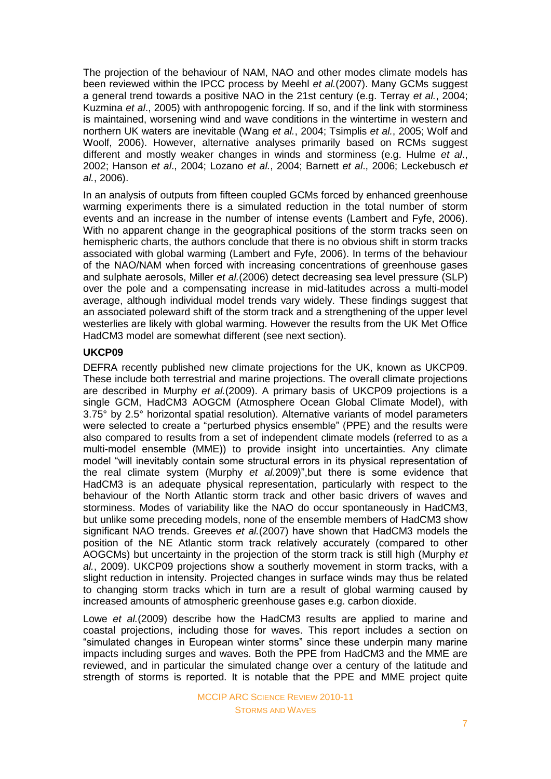The projection of the behaviour of NAM, NAO and other modes climate models has been reviewed within the IPCC process by Meehl *et al.*(2007). Many GCMs suggest a general trend towards a positive NAO in the 21st century (e.g. Terray *et al.*, 2004; Kuzmina *et al*., 2005) with anthropogenic forcing. If so, and if the link with storminess is maintained, worsening wind and wave conditions in the wintertime in western and northern UK waters are inevitable (Wang *et al.*, 2004; Tsimplis *et al.*, 2005; Wolf and Woolf, 2006). However, alternative analyses primarily based on RCMs suggest different and mostly weaker changes in winds and storminess (e.g. Hulme *et al*., 2002; Hanson *et al*., 2004; Lozano *et al.*, 2004; Barnett *et al*., 2006; Leckebusch *et al.*, 2006).

In an analysis of outputs from fifteen coupled GCMs forced by enhanced greenhouse warming experiments there is a simulated reduction in the total number of storm events and an increase in the number of intense events (Lambert and Fyfe, 2006). With no apparent change in the geographical positions of the storm tracks seen on hemispheric charts, the authors conclude that there is no obvious shift in storm tracks associated with global warming (Lambert and Fyfe, 2006). In terms of the behaviour of the NAO/NAM when forced with increasing concentrations of greenhouse gases and sulphate aerosols, Miller *et al.*(2006) detect decreasing sea level pressure (SLP) over the pole and a compensating increase in mid-latitudes across a multi-model average, although individual model trends vary widely. These findings suggest that an associated poleward shift of the storm track and a strengthening of the upper level westerlies are likely with global warming. However the results from the UK Met Office HadCM3 model are somewhat different (see next section).

## **UKCP09**

DEFRA recently published new climate projections for the UK, known as UKCP09. These include both terrestrial and marine projections. The overall climate projections are described in Murphy *et al.*(2009). A primary basis of UKCP09 projections is a single GCM, HadCM3 AOGCM (Atmosphere Ocean Global Climate Model), with 3.75° by 2.5° horizontal spatial resolution). Alternative variants of model parameters were selected to create a "perturbed physics ensemble" (PPE) and the results were also compared to results from a set of independent climate models (referred to as a multi-model ensemble (MME)) to provide insight into uncertainties. Any climate model "will inevitably contain some structural errors in its physical representation of the real climate system (Murphy *et al.*2009)",but there is some evidence that HadCM3 is an adequate physical representation, particularly with respect to the behaviour of the North Atlantic storm track and other basic drivers of waves and storminess. Modes of variability like the NAO do occur spontaneously in HadCM3, but unlike some preceding models, none of the ensemble members of HadCM3 show significant NAO trends. Greeves *et al.*(2007) have shown that HadCM3 models the position of the NE Atlantic storm track relatively accurately (compared to other AOGCMs) but uncertainty in the projection of the storm track is still high (Murphy *et al.*, 2009). UKCP09 projections show a southerly movement in storm tracks, with a slight reduction in intensity. Projected changes in surface winds may thus be related to changing storm tracks which in turn are a result of global warming caused by increased amounts of atmospheric greenhouse gases e.g. carbon dioxide.

Lowe *et al.*(2009) describe how the HadCM3 results are applied to marine and coastal projections, including those for waves. This report includes a section on "simulated changes in European winter storms" since these underpin many marine impacts including surges and waves. Both the PPE from HadCM3 and the MME are reviewed, and in particular the simulated change over a century of the latitude and strength of storms is reported. It is notable that the PPE and MME project quite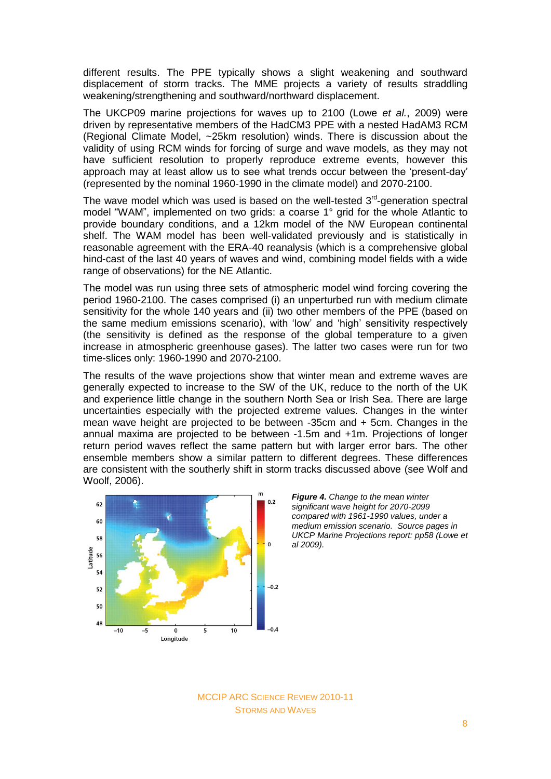different results. The PPE typically shows a slight weakening and southward displacement of storm tracks. The MME projects a variety of results straddling weakening/strengthening and southward/northward displacement.

The UKCP09 marine projections for waves up to 2100 (Lowe *et al.*, 2009) were driven by representative members of the HadCM3 PPE with a nested HadAM3 RCM (Regional Climate Model, ~25km resolution) winds. There is discussion about the validity of using RCM winds for forcing of surge and wave models, as they may not have sufficient resolution to properly reproduce extreme events, however this approach may at least allow us to see what trends occur between the "present-day" (represented by the nominal 1960-1990 in the climate model) and 2070-2100.

The wave model which was used is based on the well-tested  $3<sup>rd</sup>$ -generation spectral model "WAM", implemented on two grids: a coarse 1° grid for the whole Atlantic to provide boundary conditions, and a 12km model of the NW European continental shelf. The WAM model has been well-validated previously and is statistically in reasonable agreement with the ERA-40 reanalysis (which is a comprehensive global hind-cast of the last 40 years of waves and wind, combining model fields with a wide range of observations) for the NE Atlantic.

The model was run using three sets of atmospheric model wind forcing covering the period 1960-2100. The cases comprised (i) an unperturbed run with medium climate sensitivity for the whole 140 years and (ii) two other members of the PPE (based on the same medium emissions scenario), with "low" and "high" sensitivity respectively (the sensitivity is defined as the response of the global temperature to a given increase in atmospheric greenhouse gases). The latter two cases were run for two time-slices only: 1960-1990 and 2070-2100.

The results of the wave projections show that winter mean and extreme waves are generally expected to increase to the SW of the UK, reduce to the north of the UK and experience little change in the southern North Sea or Irish Sea. There are large uncertainties especially with the projected extreme values. Changes in the winter mean wave height are projected to be between -35cm and + 5cm. Changes in the annual maxima are projected to be between -1.5m and +1m. Projections of longer return period waves reflect the same pattern but with larger error bars. The other ensemble members show a similar pattern to different degrees. These differences are consistent with the southerly shift in storm tracks discussed above (see Wolf and Woolf, 2006).



*Figure 4. Change to the mean winter significant wave height for 2070-2099 compared with 1961-1990 values, under a medium emission scenario. Source pages in UKCP Marine Projections report: pp58 (Lowe et al 2009).*

MCCIP ARC SCIENCE REVIEW 2010-11 STORMS AND WAVES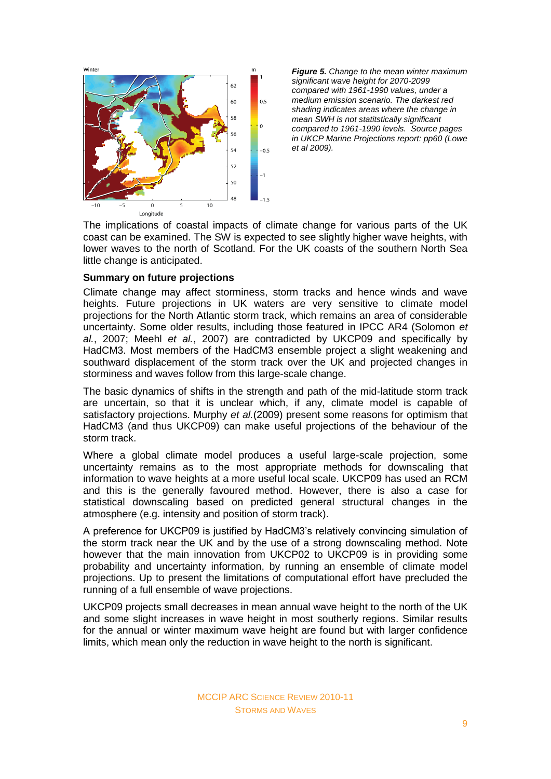Winter  $62$ 60  $05$ 58  $\Omega$  $54$  $-0.5$  $52$ 50 48  $10$  $\overline{0}$ Longitude

*Figure 5. Change to the mean winter maximum significant wave height for 2070-2099 compared with 1961-1990 values, under a medium emission scenario. The darkest red shading indicates areas where the change in mean SWH is not statitstically significant compared to 1961-1990 levels. Source pages in UKCP Marine Projections report: pp60 (Lowe et al 2009).*

The implications of coastal impacts of climate change for various parts of the UK coast can be examined. The SW is expected to see slightly higher wave heights, with lower waves to the north of Scotland. For the UK coasts of the southern North Sea little change is anticipated.

## **Summary on future projections**

Climate change may affect storminess, storm tracks and hence winds and wave heights. Future projections in UK waters are very sensitive to climate model projections for the North Atlantic storm track, which remains an area of considerable uncertainty. Some older results, including those featured in IPCC AR4 (Solomon *et al.*, 2007; Meehl *et al.*, 2007) are contradicted by UKCP09 and specifically by HadCM3. Most members of the HadCM3 ensemble project a slight weakening and southward displacement of the storm track over the UK and projected changes in storminess and waves follow from this large-scale change.

The basic dynamics of shifts in the strength and path of the mid-latitude storm track are uncertain, so that it is unclear which, if any, climate model is capable of satisfactory projections. Murphy *et al.*(2009) present some reasons for optimism that HadCM3 (and thus UKCP09) can make useful projections of the behaviour of the storm track.

Where a global climate model produces a useful large-scale projection, some uncertainty remains as to the most appropriate methods for downscaling that information to wave heights at a more useful local scale. UKCP09 has used an RCM and this is the generally favoured method. However, there is also a case for statistical downscaling based on predicted general structural changes in the atmosphere (e.g. intensity and position of storm track).

A preference for UKCP09 is justified by HadCM3"s relatively convincing simulation of the storm track near the UK and by the use of a strong downscaling method. Note however that the main innovation from UKCP02 to UKCP09 is in providing some probability and uncertainty information, by running an ensemble of climate model projections. Up to present the limitations of computational effort have precluded the running of a full ensemble of wave projections.

UKCP09 projects small decreases in mean annual wave height to the north of the UK and some slight increases in wave height in most southerly regions. Similar results for the annual or winter maximum wave height are found but with larger confidence limits, which mean only the reduction in wave height to the north is significant.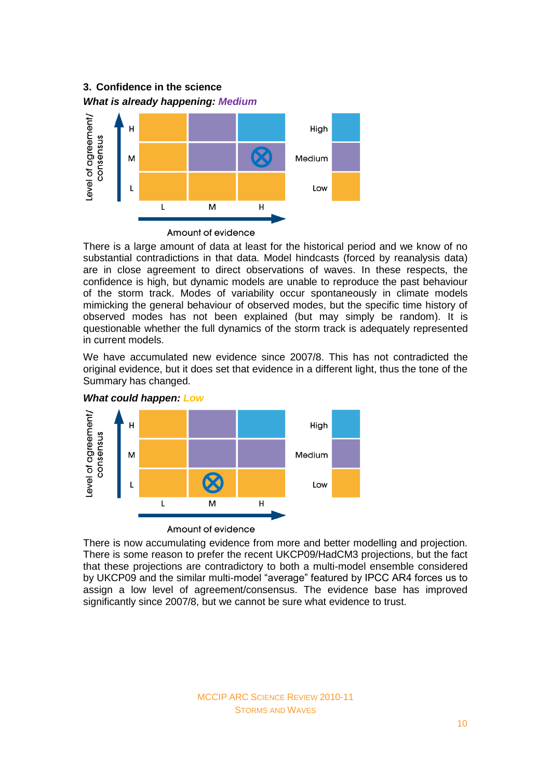# **3. Confidence in the science** *What is already happening: Medium*



There is a large amount of data at least for the historical period and we know of no substantial contradictions in that data. Model hindcasts (forced by reanalysis data) are in close agreement to direct observations of waves. In these respects, the confidence is high, but dynamic models are unable to reproduce the past behaviour of the storm track. Modes of variability occur spontaneously in climate models mimicking the general behaviour of observed modes, but the specific time history of observed modes has not been explained (but may simply be random). It is questionable whether the full dynamics of the storm track is adequately represented in current models.

We have accumulated new evidence since 2007/8. This has not contradicted the original evidence, but it does set that evidence in a different light, thus the tone of the Summary has changed.



*What could happen: Low*

There is now accumulating evidence from more and better modelling and projection. There is some reason to prefer the recent UKCP09/HadCM3 projections, but the fact that these projections are contradictory to both a multi-model ensemble considered by UKCP09 and the similar multi-model "average" featured by IPCC AR4 forces us to assign a low level of agreement/consensus. The evidence base has improved significantly since 2007/8, but we cannot be sure what evidence to trust.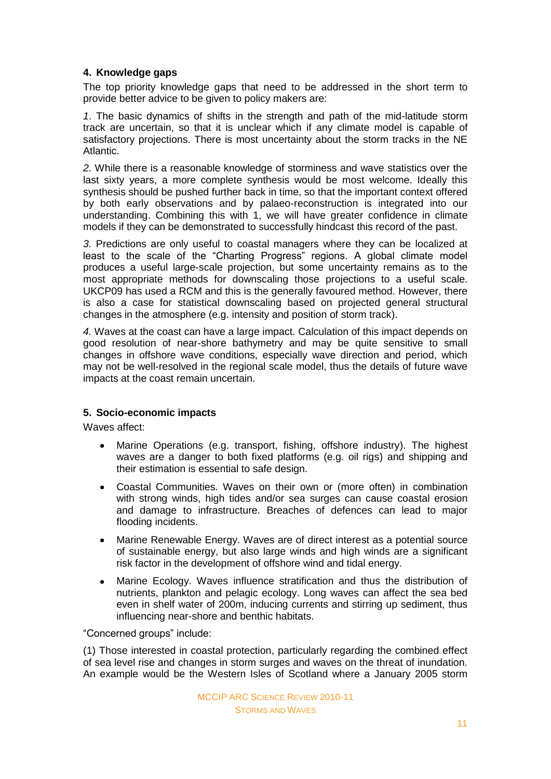## **4. Knowledge gaps**

The top priority knowledge gaps that need to be addressed in the short term to provide better advice to be given to policy makers are:

*1*. The basic dynamics of shifts in the strength and path of the mid-latitude storm track are uncertain, so that it is unclear which if any climate model is capable of satisfactory projections. There is most uncertainty about the storm tracks in the NE Atlantic.

*2.* While there is a reasonable knowledge of storminess and wave statistics over the last sixty years, a more complete synthesis would be most welcome. Ideally this synthesis should be pushed further back in time, so that the important context offered by both early observations and by palaeo-reconstruction is integrated into our understanding. Combining this with 1, we will have greater confidence in climate models if they can be demonstrated to successfully hindcast this record of the past.

*3.* Predictions are only useful to coastal managers where they can be localized at least to the scale of the "Charting Progress" regions. A global climate model produces a useful large-scale projection, but some uncertainty remains as to the most appropriate methods for downscaling those projections to a useful scale. UKCP09 has used a RCM and this is the generally favoured method. However, there is also a case for statistical downscaling based on projected general structural changes in the atmosphere (e.g. intensity and position of storm track).

*4.* Waves at the coast can have a large impact. Calculation of this impact depends on good resolution of near-shore bathymetry and may be quite sensitive to small changes in offshore wave conditions, especially wave direction and period, which may not be well-resolved in the regional scale model, thus the details of future wave impacts at the coast remain uncertain.

## **5. Socio-economic impacts**

Waves affect:

- Marine Operations (e.g. transport, fishing, offshore industry). The highest  $\bullet$ waves are a danger to both fixed platforms (e.g. oil rigs) and shipping and their estimation is essential to safe design.
- Coastal Communities. Waves on their own or (more often) in combination with strong winds, high tides and/or sea surges can cause coastal erosion and damage to infrastructure. Breaches of defences can lead to major flooding incidents.
- Marine Renewable Energy. Waves are of direct interest as a potential source  $\bullet$ of sustainable energy, but also large winds and high winds are a significant risk factor in the development of offshore wind and tidal energy.
- $\bullet$ Marine Ecology. Waves influence stratification and thus the distribution of nutrients, plankton and pelagic ecology. Long waves can affect the sea bed even in shelf water of 200m, inducing currents and stirring up sediment, thus influencing near-shore and benthic habitats.

"Concerned groups" include:

(1) Those interested in coastal protection, particularly regarding the combined effect of sea level rise and changes in storm surges and waves on the threat of inundation. An example would be the Western Isles of Scotland where a January 2005 storm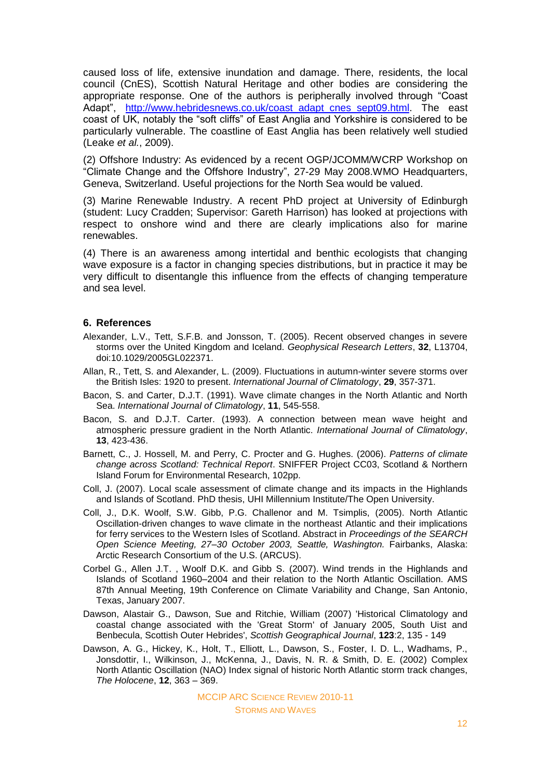caused loss of life, extensive inundation and damage. There, residents, the local council (CnES), Scottish Natural Heritage and other bodies are considering the appropriate response. One of the authors is peripherally involved through "Coast Adapt", [http://www.hebridesnews.co.uk/coast\\_adapt\\_cnes\\_sept09.html.](http://www.hebridesnews.co.uk/coast_adapt_cnes_sept09.html) The east coast of UK, notably the "soft cliffs" of East Anglia and Yorkshire is considered to be particularly vulnerable. The coastline of East Anglia has been relatively well studied (Leake *et al.*, 2009).

(2) Offshore Industry: As evidenced by a recent OGP/JCOMM/WCRP Workshop on "Climate Change and the Offshore Industry", 27-29 May 2008.WMO Headquarters, Geneva, Switzerland. Useful projections for the North Sea would be valued.

(3) Marine Renewable Industry. A recent PhD project at University of Edinburgh (student: Lucy Cradden; Supervisor: Gareth Harrison) has looked at projections with respect to onshore wind and there are clearly implications also for marine renewables.

(4) There is an awareness among intertidal and benthic ecologists that changing wave exposure is a factor in changing species distributions, but in practice it may be very difficult to disentangle this influence from the effects of changing temperature and sea level.

#### **6. References**

- Alexander, L.V., Tett, S.F.B. and Jonsson, T. (2005). Recent observed changes in severe storms over the United Kingdom and Iceland. *Geophysical Research Letters*, **32**, L13704, doi:10.1029/2005GL022371.
- Allan, R., Tett, S. and Alexander, L. (2009). Fluctuations in autumn-winter severe storms over the British Isles: 1920 to present. *International Journal of Climatology*, **29**, 357-371.
- Bacon, S. and Carter, D.J.T. (1991). Wave climate changes in the North Atlantic and North Sea. *International Journal of Climatology*, **11**, 545-558.
- Bacon, S. and D.J.T. Carter. (1993). A connection between mean wave height and atmospheric pressure gradient in the North Atlantic. *International Journal of Climatology*, **13**, 423-436.
- Barnett, C., J. Hossell, M. and Perry, C. Procter and G. Hughes. (2006). *Patterns of climate change across Scotland: Technical Report*. SNIFFER Project CC03, Scotland & Northern Island Forum for Environmental Research, 102pp.
- Coll, J. (2007). Local scale assessment of climate change and its impacts in the Highlands and Islands of Scotland. PhD thesis, UHI Millennium Institute/The Open University.
- Coll, J., D.K. Woolf, S.W. Gibb, P.G. Challenor and M. Tsimplis, (2005). North Atlantic Oscillation-driven changes to wave climate in the northeast Atlantic and their implications for ferry services to the Western Isles of Scotland. Abstract in *Proceedings of the SEARCH Open Science Meeting, 27–30 October 2003, Seattle, Washington.* Fairbanks, Alaska: Arctic Research Consortium of the U.S. (ARCUS).
- Corbel G., Allen J.T. , Woolf D.K. and Gibb S. (2007). Wind trends in the Highlands and Islands of Scotland 1960–2004 and their relation to the North Atlantic Oscillation. AMS 87th Annual Meeting, 19th Conference on Climate Variability and Change, San Antonio, Texas, January 2007.
- Dawson, Alastair G., Dawson, Sue and Ritchie, William (2007) 'Historical Climatology and coastal change associated with the 'Great Storm' of January 2005, South Uist and Benbecula, Scottish Outer Hebrides', *Scottish Geographical Journal*, **123**:2, 135 - 149
- Dawson, A. G., Hickey, K., Holt, T., Elliott, L., Dawson, S., Foster, I. D. L., Wadhams, P., Jonsdottir, I., Wilkinson, J., McKenna, J., Davis, N. R. & Smith, D. E. (2002) Complex North Atlantic Oscillation (NAO) Index signal of historic North Atlantic storm track changes, *The Holocene*, **12**, 363 – 369.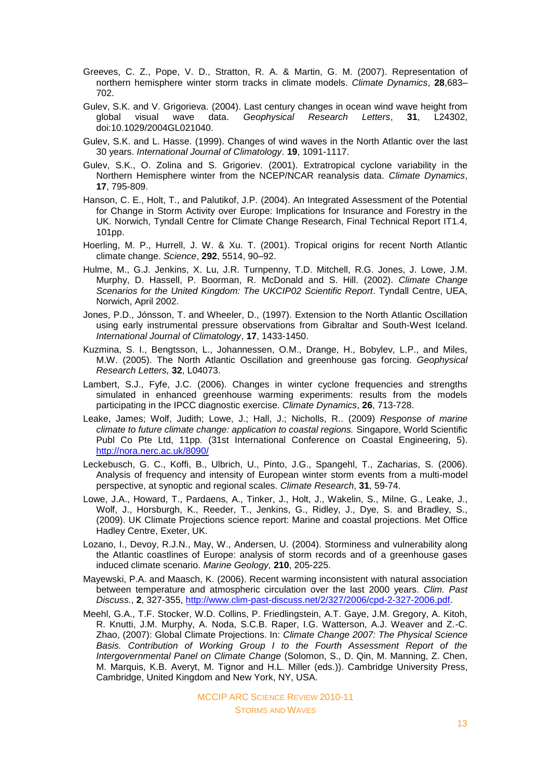- Greeves, C. Z., Pope, V. D., Stratton, R. A. & Martin, G. M. (2007). Representation of northern hemisphere winter storm tracks in climate models. *Climate Dynamics*, **28**,683– 702.
- Gulev, S.K. and V. Grigorieva. (2004). Last century changes in ocean wind wave height from global visual wave data. *Geophysical Research Letters*, **31**, L24302, doi:10.1029/2004GL021040.
- Gulev, S.K. and L. Hasse. (1999). Changes of wind waves in the North Atlantic over the last 30 years. *International Journal of Climatology*. **19**, 1091-1117.
- Gulev, S.K., O. Zolina and S. Grigoriev. (2001). Extratropical cyclone variability in the Northern Hemisphere winter from the NCEP/NCAR reanalysis data. *Climate Dynamics*, **17**, 795-809.
- Hanson, C. E., Holt, T., and Palutikof, J.P. (2004). An Integrated Assessment of the Potential for Change in Storm Activity over Europe: Implications for Insurance and Forestry in the UK. Norwich, Tyndall Centre for Climate Change Research, Final Technical Report IT1.4, 101pp.
- Hoerling, M. P., Hurrell, J. W. & Xu. T. (2001). Tropical origins for recent North Atlantic climate change. *Science*, **292**, 5514, 90–92.
- Hulme, M., G.J. Jenkins, X. Lu, J.R. Turnpenny, T.D. Mitchell, R.G. Jones, J. Lowe, J.M. Murphy, D. Hassell, P. Boorman, R. McDonald and S. Hill. (2002). *Climate Change Scenarios for the United Kingdom: The UKCIP02 Scientific Report*. Tyndall Centre, UEA, Norwich, April 2002.
- Jones, P.D., Jónsson, T. and Wheeler, D., (1997). Extension to the North Atlantic Oscillation using early instrumental pressure observations from Gibraltar and South-West Iceland. *International Journal of Climatology*, **17**, 1433-1450.
- Kuzmina, S. I., Bengtsson, L., Johannessen, O.M., Drange, H., Bobylev, L.P., and Miles, M.W. (2005). The North Atlantic Oscillation and greenhouse gas forcing. *Geophysical Research Letters,* **32**, L04073.
- Lambert, S.J., Fyfe, J.C. (2006). Changes in winter cyclone frequencies and strengths simulated in enhanced greenhouse warming experiments: results from the models participating in the IPCC diagnostic exercise. *Climate Dynamics*, **26**, 713-728.
- Leake, James; Wolf, Judith; Lowe, J.; Hall, J.; Nicholls, R.. (2009) *Response of marine climate to future climate change: application to coastal regions.* Singapore, World Scientific Publ Co Pte Ltd, 11pp. (31st International Conference on Coastal Engineering, 5). <http://nora.nerc.ac.uk/8090/>
- Leckebusch, G. C., Koffi, B., Ulbrich, U., Pinto, J.G., Spangehl, T., Zacharias, S. (2006). Analysis of frequency and intensity of European winter storm events from a multi-model perspective, at synoptic and regional scales. *Climate Research*, **31**, 59-74.
- Lowe, J.A., Howard, T., Pardaens, A., Tinker, J., Holt, J., Wakelin, S., Milne, G., Leake, J., Wolf, J., Horsburgh, K., Reeder, T., Jenkins, G., Ridley, J., Dye, S. and Bradley, S., (2009). UK Climate Projections science report: Marine and coastal projections. Met Office Hadley Centre, Exeter, UK.
- Lozano, I., Devoy, R.J.N., May, W., Andersen, U. (2004). Storminess and vulnerability along the Atlantic coastlines of Europe: analysis of storm records and of a greenhouse gases induced climate scenario. *Marine Geology,* **210**, 205-225.
- Mayewski, P.A. and Maasch, K. (2006). Recent warming inconsistent with natural association between temperature and atmospheric circulation over the last 2000 years. *Clim. Past Discuss.*, **2**, 327-355, [http://www.clim-past-discuss.net/2/327/2006/cpd-2-327-2006.pdf.](http://www.clim-past-discuss.net/2/327/2006/cpd-2-327-2006.pdf)
- Meehl, G.A., T.F. Stocker, W.D. Collins, P. Friedlingstein, A.T. Gaye, J.M. Gregory, A. Kitoh, R. Knutti, J.M. Murphy, A. Noda, S.C.B. Raper, I.G. Watterson, A.J. Weaver and Z.-C. Zhao, (2007): Global Climate Projections. In: *Climate Change 2007: The Physical Science Basis. Contribution of Working Group I to the Fourth Assessment Report of the Intergovernmental Panel on Climate Change* (Solomon, S., D. Qin, M. Manning, Z. Chen, M. Marquis, K.B. Averyt, M. Tignor and H.L. Miller (eds.)). Cambridge University Press, Cambridge, United Kingdom and New York, NY, USA.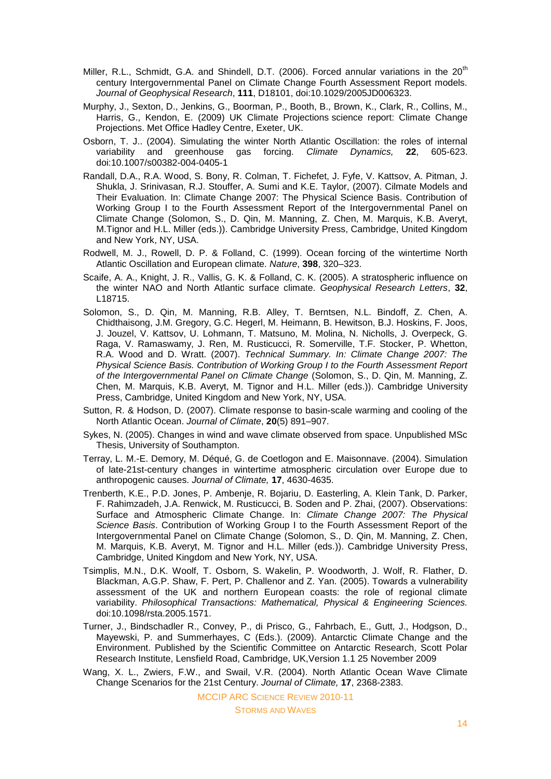- Miller, R.L., Schmidt, G.A. and Shindell, D.T. (2006). Forced annular variations in the  $20<sup>th</sup>$ century Intergovernmental Panel on Climate Change Fourth Assessment Report models. *Journal of Geophysical Research*, **111**, D18101, doi:10.1029/2005JD006323.
- Murphy, J., Sexton, D., Jenkins, G., Boorman, P., Booth, B., Brown, K., Clark, R., Collins, M., Harris, G., Kendon, E. (2009) UK Climate Projections science report: Climate Change Projections. Met Office Hadley Centre, Exeter, UK.
- Osborn, T. J.. (2004). Simulating the winter North Atlantic Oscillation: the roles of internal variability and greenhouse gas forcing. *Climate Dynamics,* **22**, 605-623. doi:10.1007/s00382-004-0405-1
- Randall, D.A., R.A. Wood, S. Bony, R. Colman, T. Fichefet, J. Fyfe, V. Kattsov, A. Pitman, J. Shukla, J. Srinivasan, R.J. Stouffer, A. Sumi and K.E. Taylor, (2007). Cilmate Models and Their Evaluation. In: Climate Change 2007: The Physical Science Basis. Contribution of Working Group I to the Fourth Assessment Report of the Intergovernmental Panel on Climate Change (Solomon, S., D. Qin, M. Manning, Z. Chen, M. Marquis, K.B. Averyt, M.Tignor and H.L. Miller (eds.)). Cambridge University Press, Cambridge, United Kingdom and New York, NY, USA.
- Rodwell, M. J., Rowell, D. P. & Folland, C. (1999). Ocean forcing of the wintertime North Atlantic Oscillation and European climate. *Nature*, **398**, 320–323.
- Scaife, A. A., Knight, J. R., Vallis, G. K. & Folland, C. K. (2005). A stratospheric influence on the winter NAO and North Atlantic surface climate. *Geophysical Research Letters*, **32**, L18715.
- Solomon, S., D. Qin, M. Manning, R.B. Alley, T. Berntsen, N.L. Bindoff, Z. Chen, A. Chidthaisong, J.M. Gregory, G.C. Hegerl, M. Heimann, B. Hewitson, B.J. Hoskins, F. Joos, J. Jouzel, V. Kattsov, U. Lohmann, T. Matsuno, M. Molina, N. Nicholls, J. Overpeck, G. Raga, V. Ramaswamy, J. Ren, M. Rusticucci, R. Somerville, T.F. Stocker, P. Whetton, R.A. Wood and D. Wratt. (2007). *Technical Summary. In: Climate Change 2007: The Physical Science Basis. Contribution of Working Group I to the Fourth Assessment Report of the Intergovernmental Panel on Climate Change* (Solomon, S., D. Qin, M. Manning, Z. Chen, M. Marquis, K.B. Averyt, M. Tignor and H.L. Miller (eds.)). Cambridge University Press, Cambridge, United Kingdom and New York, NY, USA.
- Sutton, R. & Hodson, D. (2007). Climate response to basin-scale warming and cooling of the North Atlantic Ocean. *Journal of Climate*, **20**(5) 891–907.
- Sykes, N. (2005). Changes in wind and wave climate observed from space. Unpublished MSc Thesis, University of Southampton.
- Terray, L. M.-E. Demory, M. Déqué, G. de Coetlogon and E. Maisonnave. (2004). Simulation of late-21st-century changes in wintertime atmospheric circulation over Europe due to anthropogenic causes. *Journal of Climate,* **17**, 4630-4635.
- Trenberth, K.E., P.D. Jones, P. Ambenje, R. Bojariu, D. Easterling, A. Klein Tank, D. Parker, F. Rahimzadeh, J.A. Renwick, M. Rusticucci, B. Soden and P. Zhai, (2007). Observations: Surface and Atmospheric Climate Change. In: *Climate Change 2007: The Physical Science Basis*. Contribution of Working Group I to the Fourth Assessment Report of the Intergovernmental Panel on Climate Change (Solomon, S., D. Qin, M. Manning, Z. Chen, M. Marquis, K.B. Averyt, M. Tignor and H.L. Miller (eds.)). Cambridge University Press, Cambridge, United Kingdom and New York, NY, USA.
- Tsimplis, M.N., D.K. Woolf, T. Osborn, S. Wakelin, P. Woodworth, J. Wolf, R. Flather, D. Blackman, A.G.P. Shaw, F. Pert, P. Challenor and Z. Yan. (2005). Towards a vulnerability assessment of the UK and northern European coasts: the role of regional climate variability. *Philosophical Transactions: Mathematical, Physical & Engineering Sciences.* doi:10.1098/rsta.2005.1571.
- Turner, J., Bindschadler R., Convey, P., di Prisco, G., Fahrbach, E., Gutt, J., Hodgson, D., Mayewski, P. and Summerhayes, C (Eds.). (2009). Antarctic Climate Change and the Environment. Published by the Scientific Committee on Antarctic Research, Scott Polar Research Institute, Lensfield Road, Cambridge, UK,Version 1.1 25 November 2009
- Wang, X. L., Zwiers, F.W., and Swail, V.R. (2004). North Atlantic Ocean Wave Climate Change Scenarios for the 21st Century. *Journal of Climate,* **17**, 2368-2383.